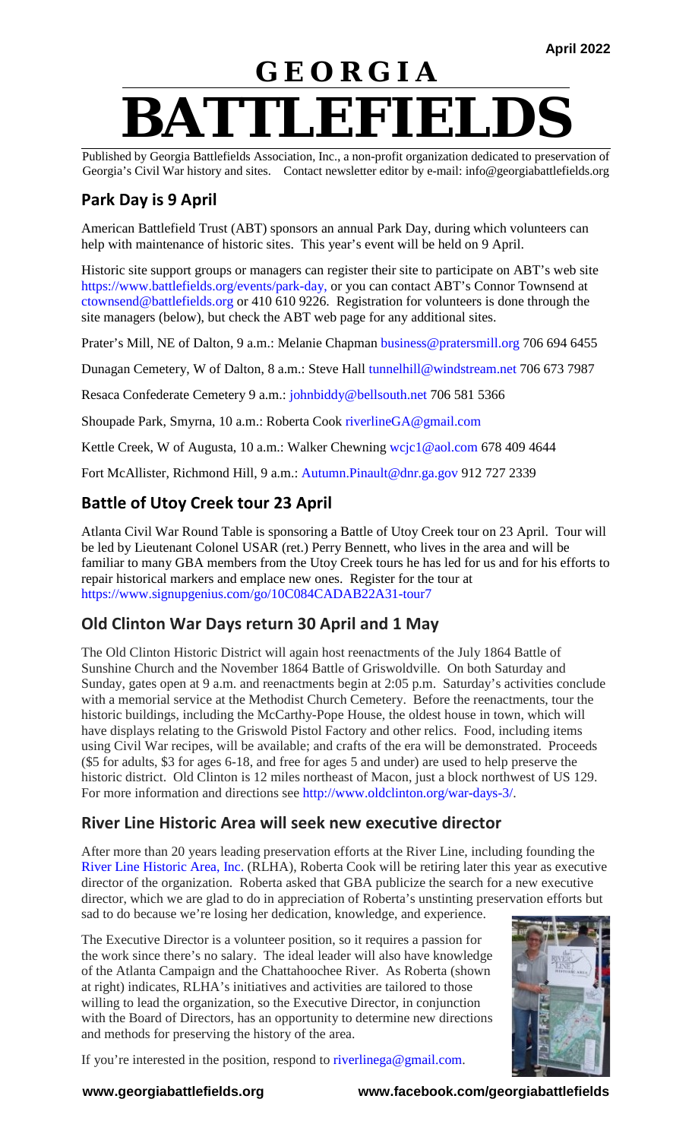# **G E O R G I A BATTLEFIELDS**

Published by Georgia Battlefields Association, Inc., a non-profit organization dedicated to preservation of Georgia's Civil War history and sites. Contact newsletter editor by e-mail: info@georgiabattlefields.org

# **Park Day is 9 April**

American Battlefield Trust (ABT) sponsors an annual Park Day, during which volunteers can help with maintenance of historic sites. This year's event will be held on 9 April.

Historic site support groups or managers can register their site to participate on ABT's web site [https://www.battlefields.org/events/park-day,](https://www.battlefields.org/events/park-day) or you can contact ABT's Connor Townsend at [ctownsend@battlefields.org](mailto:ctownsend@battlefields.org) or 410 610 9226. Registration for volunteers is done through the site managers (below), but check the ABT web page for any additional sites.

Prater's Mill, NE of Dalton, 9 a.m.: Melanie Chapman [business@pratersmill.org](mailto:business@pratersmill.org) 706 694 6455

Dunagan Cemetery, W of Dalton, 8 a.m.: Steve Hall [tunnelhill@windstream.net](mailto:tunnelhill@windstream.net) 706 673 7987

Resaca Confederate Cemetery 9 a.m.: [johnbiddy@bellsouth.net](mailto:johnbiddy@bellsouth.net) 706 581 5366

Shoupade Park, Smyrna, 10 a.m.: Roberta Cook [riverlineGA@gmail.com](mailto:riverlineGA@gmail.com)

Kettle Creek, W of Augusta, 10 a.m.: Walker Chewning [wcjc1@aol.com](mailto:wcjc1@aol.com) 678 409 4644

Fort McAllister, Richmond Hill, 9 a.m.: [Autumn.Pinault@dnr.ga.gov](mailto:Autumn.Pinault@dnr.ga.gov) 912 727 2339

# **Battle of Utoy Creek tour 23 April**

Atlanta Civil War Round Table is sponsoring a Battle of Utoy Creek tour on 23 April. Tour will be led by Lieutenant Colonel USAR (ret.) Perry Bennett, who lives in the area and will be familiar to many GBA members from the Utoy Creek tours he has led for us and for his efforts to repair historical markers and emplace new ones. Register for the tour at <https://www.signupgenius.com/go/10C084CADAB22A31-tour7>

# **Old Clinton War Days return 30 April and 1 May**

The Old Clinton Historic District will again host reenactments of the July 1864 Battle of Sunshine Church and the November 1864 Battle of Griswoldville. On both Saturday and Sunday, gates open at 9 a.m. and reenactments begin at 2:05 p.m. Saturday's activities conclude with a memorial service at the Methodist Church Cemetery. Before the reenactments, tour the historic buildings, including the McCarthy-Pope House, the oldest house in town, which will have displays relating to the Griswold Pistol Factory and other relics. Food, including items using Civil War recipes, will be available; and crafts of the era will be demonstrated. Proceeds (\$5 for adults, \$3 for ages 6-18, and free for ages 5 and under) are used to help preserve the historic district. Old Clinton is 12 miles northeast of Macon, just a block northwest of US 129. For more information and directions see [http://www.oldclinton.org/war-days-3/.](http://www.oldclinton.org/war-days-3/)

#### **River Line Historic Area will seek new executive director**

After more than 20 years leading preservation efforts at the River Line, including founding the [River Line Historic Area, Inc.](http://riverline.org/) (RLHA), Roberta Cook will be retiring later this year as executive director of the organization. Roberta asked that GBA publicize the search for a new executive director, which we are glad to do in appreciation of Roberta's unstinting preservation efforts but sad to do because we're losing her dedication, knowledge, and experience.

The Executive Director is a volunteer position, so it requires a passion for the work since there's no salary. The ideal leader will also have knowledge of the Atlanta Campaign and the Chattahoochee River. As Roberta (shown at right) indicates, RLHA's initiatives and activities are tailored to those willing to lead the organization, so the Executive Director, in conjunction with the Board of Directors, has an opportunity to determine new directions and methods for preserving the history of the area.



If you're interested in the position, respond to [riverlinega@gmail.com.](mailto:riverlinega@gmail.com)

**www.georgiabattlefields.org www.facebook.com/georgiabattlefields**